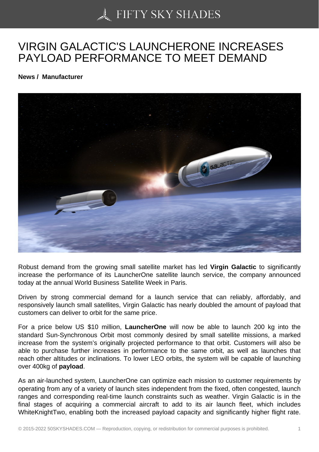## [VIRGIN GALACTIC'S L](https://50skyshades.com)AUNCHERONE INCREASES PAYLOAD PERFORMANCE TO MEET DEMAND

News / Manufacturer

Robust demand from the growing small satellite market has led Virgin Galactic to significantly increase the performance of its LauncherOne satellite launch service, the company announced today at the annual World Business Satellite Week in Paris.

Driven by strong commercial demand for a launch service that can reliably, affordably, and responsively launch small satellites, Virgin Galactic has nearly doubled the amount of payload that customers can deliver to orbit for the same price.

For a price below US \$10 million, LauncherOne will now be able to launch 200 kg into the standard Sun-Synchronous Orbit most commonly desired by small satellite missions, a marked increase from the system's originally projected performance to that orbit. Customers will also be able to purchase further increases in performance to the same orbit, as well as launches that reach other altitudes or inclinations. To lower LEO orbits, the system will be capable of launching over 400kg of payload .

As an air-launched system, LauncherOne can optimize each mission to customer requirements by operating from any of a variety of launch sites independent from the fixed, often congested, launch ranges and corresponding real-time launch constraints such as weather. Virgin Galactic is in the final stages of acquiring a commercial aircraft to add to its air launch fleet, which includes WhiteKnightTwo, enabling both the increased payload capacity and significantly higher flight rate.